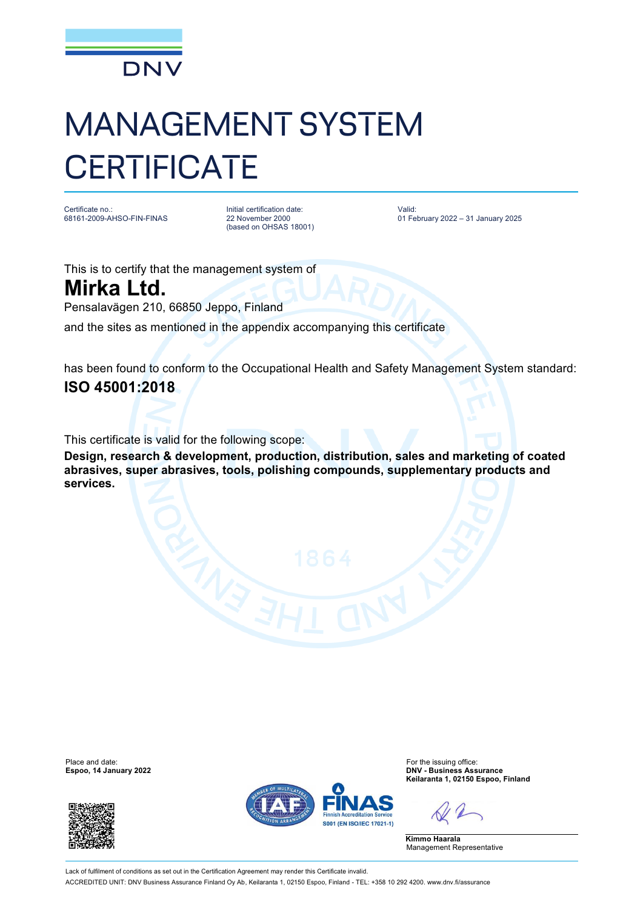

## MANAGEMENT SYSTEM **CERTIFICATE**

Certificate no.: 68161-2009-AHSO-FIN-FINAS Initial certification date: 22 November 2000 (based on OHSAS 18001) Valid: 01 February 2022 – 31 January 2025

This is to certify that the management system of

**Mirka Ltd.** Pensalavägen 210, 66850 Jeppo, Finland

and the sites as mentioned in the appendix accompanying this certificate

has been found to conform to the Occupational Health and Safety Management System standard: **ISO 45001:2018**

This certificate is valid for the following scope:

**Design, research & development, production, distribution, sales and marketing of coated abrasives, super abrasives, tools, polishing compounds, supplementary products and services.**

**Espoo, 14 January 2022** 





Place and date:<br>
For the issuing office:<br>
For the issuing office:<br> **Espoo. 14 January 2022**<br> **Espoo. 14 January 2022 Keilaranta 1, 02150 Espoo, Finland**

**Kimmo Haarala** Management Representative

Lack of fulfilment of conditions as set out in the Certification Agreement may render this Certificate invalid. ACCREDITED UNIT: DNV Business Assurance Finland Oy Ab, Keilaranta 1, 02150 Espoo, Finland - TEL: +358 10 292 4200. [www.dnv.fi/assurance](http://www.dnv.fi/assurance)